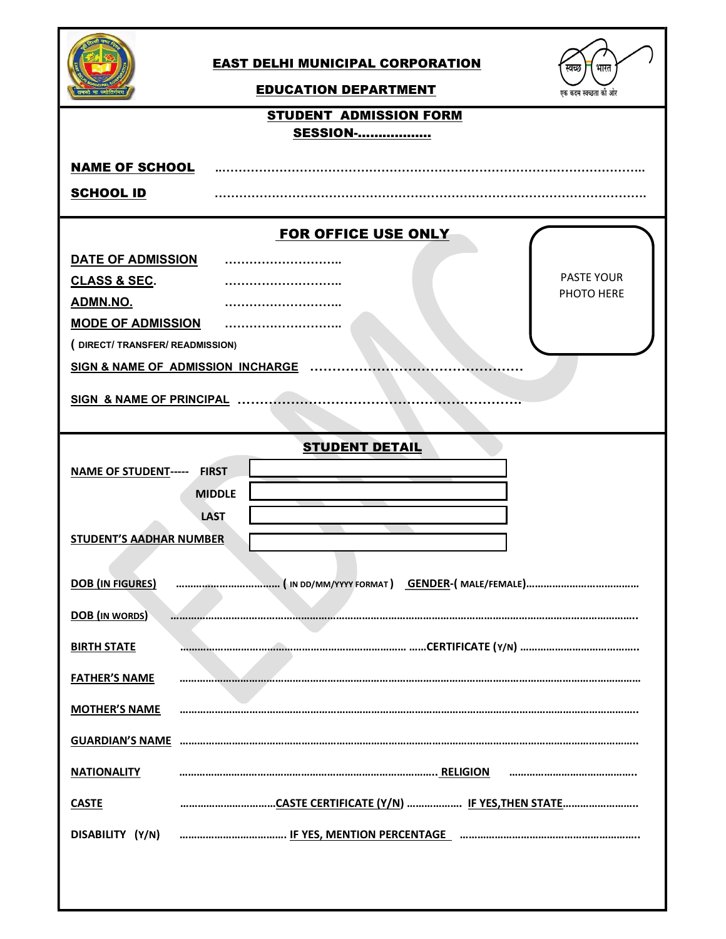

## EAST DELHI MUNICIPAL CORPORATION



## EDUCATION DEPARTMENT

| <b>STUDENT ADMISSION FORM</b>                              |
|------------------------------------------------------------|
| <b>SESSION-</b>                                            |
| <b>NAME OF SCHOOL</b>                                      |
| <b>SCHOOL ID</b>                                           |
| FOR OFFICE USE ONLY                                        |
| DATE OF ADMISSION                                          |
| PASTE YOUR<br>CLASS & SEC.<br>PHOTO HERE                   |
| ADMN.NO.                                                   |
| <b>MODE OF ADMISSION</b>                                   |
| (DIRECT/TRANSFER/READMISSION)                              |
| SIGN & NAME OF ADMISSION INCHARGE                          |
| <b>SIGN &amp; NAME OF PRINCIPAL</b>                        |
|                                                            |
| <b>STUDENT DETAIL</b>                                      |
| <b>NAME OF STUDENT----- FIRST</b>                          |
| <b>MIDDLE</b>                                              |
| <b>LAST</b>                                                |
| <b>STUDENT'S AADHAR NUMBER</b>                             |
|                                                            |
| <b>DOB</b> (IN FIGURES)                                    |
|                                                            |
| <b>DOB</b> (IN WORDS)                                      |
| <b>BIRTH STATE</b>                                         |
| <b>FATHER'S NAME</b>                                       |
|                                                            |
| <b>MOTHER'S NAME</b>                                       |
| <b>GUARDIAN'S NAME</b>                                     |
|                                                            |
| <b>NATIONALITY</b>                                         |
| CASTE CERTIFICATE (Y/N)  IF YES,THEN STATE<br><b>CASTE</b> |
| DISABILITY (Y/N)                                           |
|                                                            |
|                                                            |